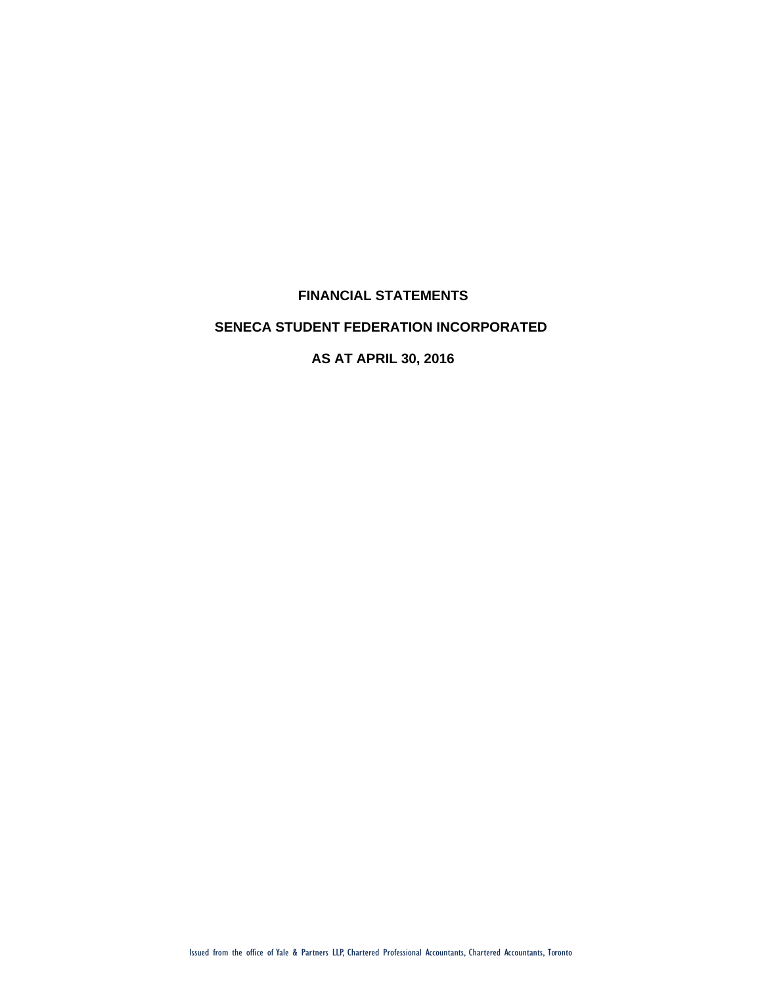## **FINANCIAL STATEMENTS**

### **SENECA STUDENT FEDERATION INCORPORATED**

**AS AT APRIL 30, 2016**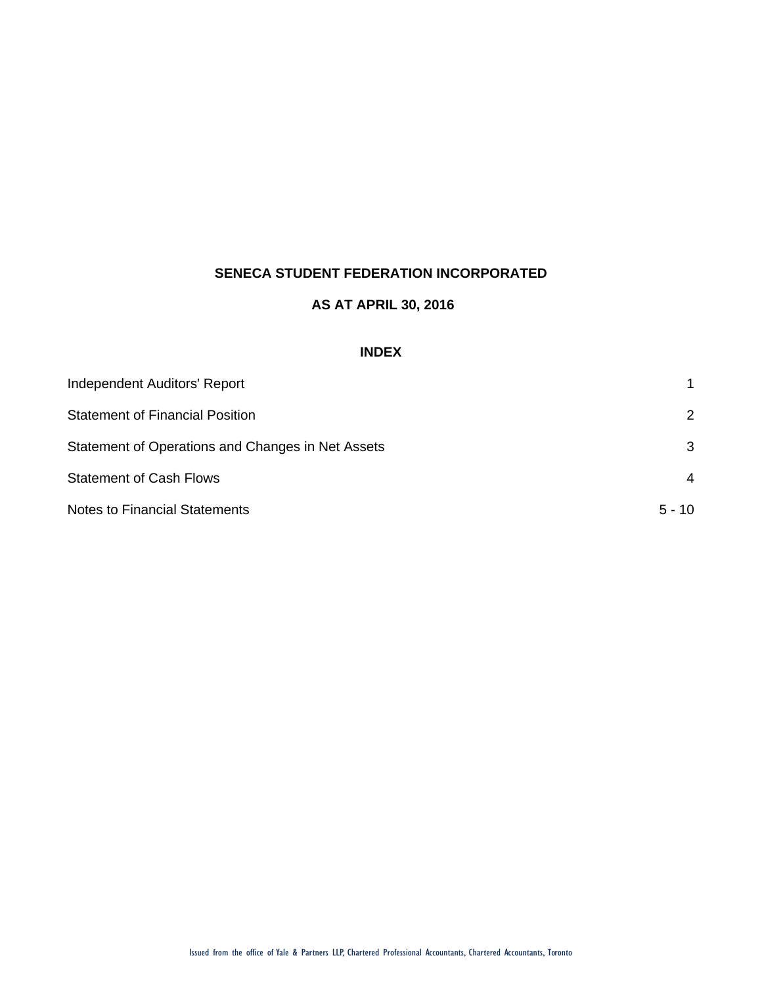## **AS AT APRIL 30, 2016**

## **INDEX**

| Independent Auditors' Report                      |               |
|---------------------------------------------------|---------------|
| <b>Statement of Financial Position</b>            | $\mathcal{P}$ |
| Statement of Operations and Changes in Net Assets | 3             |
| <b>Statement of Cash Flows</b>                    | 4             |
| <b>Notes to Financial Statements</b>              | $5 - 10$      |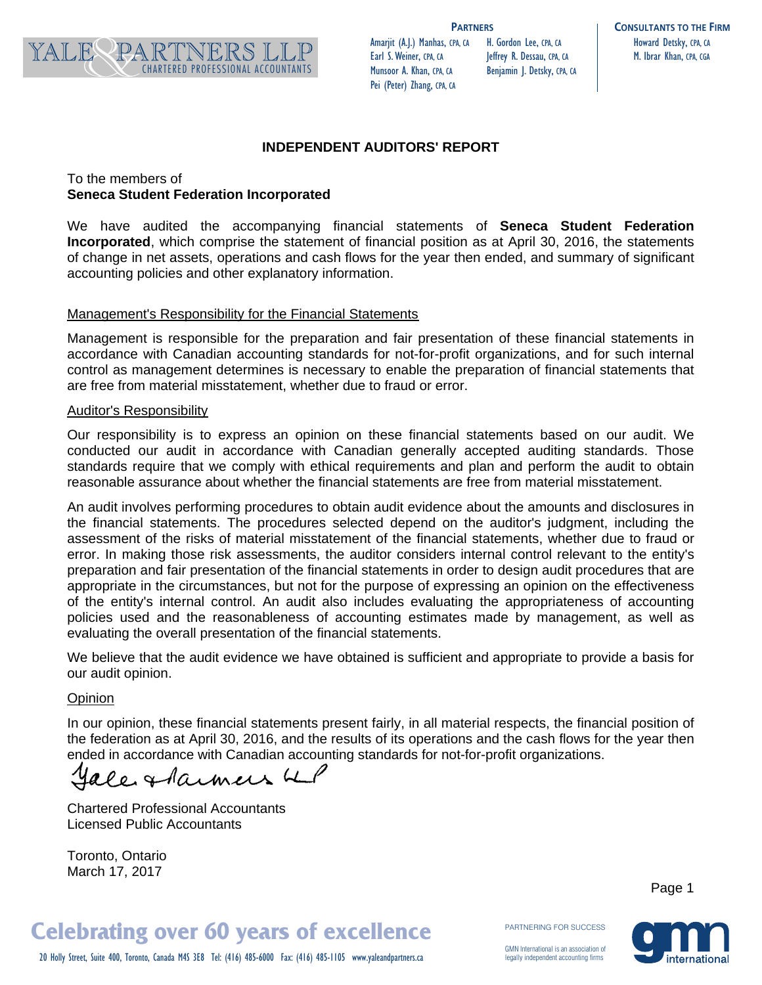

Amarjit (A.J.) Manhas, CPA, CA Earl S. Weiner, CPA, CA Munsoor A. Khan, CPA, CA Pei (Peter) Zhang, CPA, CA

H. Gordon Lee, CPA, CA Jeffrey R. Dessau, CPA, CA

**PARTNERS CONSULTANTS TO THE FIRM** Howard Detsky, CPA, CA M. Ibrar Khan, CPA, CGA

## **INDEPENDENT AUDITORS' REPORT**

## To the members of **Seneca Student Federation Incorporated**

We have audited the accompanying financial statements of **Seneca Student Federation Incorporated**, which comprise the statement of financial position as at April 30, 2016, the statements of change in net assets, operations and cash flows for the year then ended, and summary of significant accounting policies and other explanatory information.

#### Management's Responsibility for the Financial Statements

Management is responsible for the preparation and fair presentation of these financial statements in accordance with Canadian accounting standards for not-for-profit organizations, and for such internal control as management determines is necessary to enable the preparation of financial statements that are free from material misstatement, whether due to fraud or error.

#### Auditor's Responsibility

Our responsibility is to express an opinion on these financial statements based on our audit. We conducted our audit in accordance with Canadian generally accepted auditing standards. Those standards require that we comply with ethical requirements and plan and perform the audit to obtain reasonable assurance about whether the financial statements are free from material misstatement.

An audit involves performing procedures to obtain audit evidence about the amounts and disclosures in the financial statements. The procedures selected depend on the auditor's judgment, including the assessment of the risks of material misstatement of the financial statements, whether due to fraud or error. In making those risk assessments, the auditor considers internal control relevant to the entity's preparation and fair presentation of the financial statements in order to design audit procedures that are appropriate in the circumstances, but not for the purpose of expressing an opinion on the effectiveness of the entity's internal control. An audit also includes evaluating the appropriateness of accounting policies used and the reasonableness of accounting estimates made by management, as well as evaluating the overall presentation of the financial statements.

We believe that the audit evidence we have obtained is sufficient and appropriate to provide a basis for our audit opinion.

#### **Opinion**

In our opinion, these financial statements present fairly, in all material respects, the financial position of the federation as at April 30, 2016, and the results of its operations and the cash flows for the year then ended in accordance with Canadian accounting standards for not-for-profit organizations.

le starmers 41

Chartered Professional Accountants Licensed Public Accountants

Toronto, Ontario March 17, 2017

Page 1

# **Celebrating over 60 years of excellence**

20 Holly Street, Suite 400, Toronto, Canada M4S 3E8 Tel: (416) 485-6000 Fax: (416) 485-1105 www.yaleandpartners.ca

PARTNERING FOR SUCCESS

GMN International is an association of legally independent accounting firms

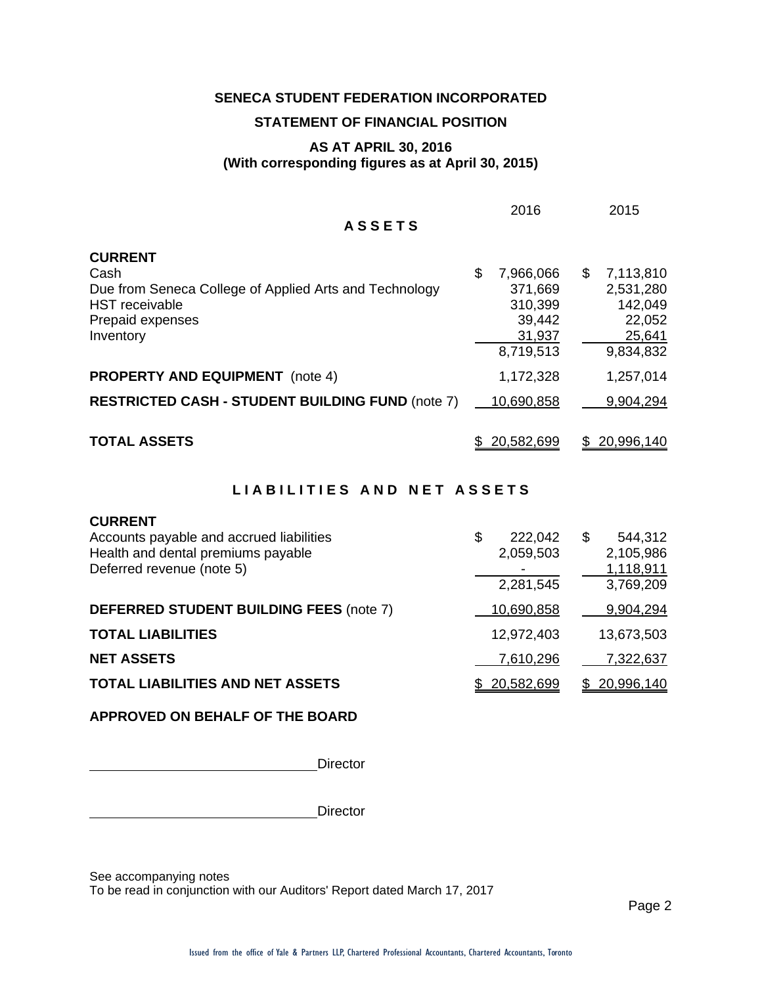#### **STATEMENT OF FINANCIAL POSITION**

#### **AS AT APRIL 30, 2016 (With corresponding figures as at April 30, 2015)**

| <b>ASSETS</b>                                                                                                                 | 2016                                                                   | 2015                                                                     |
|-------------------------------------------------------------------------------------------------------------------------------|------------------------------------------------------------------------|--------------------------------------------------------------------------|
| <b>CURRENT</b>                                                                                                                |                                                                        |                                                                          |
| Cash<br>Due from Seneca College of Applied Arts and Technology<br><b>HST</b> receivable<br>Prepaid expenses<br>Inventory      | \$<br>7,966,066<br>371,669<br>310,399<br>39,442<br>31,937<br>8,719,513 | \$<br>7,113,810<br>2,531,280<br>142,049<br>22,052<br>25,641<br>9,834,832 |
| <b>PROPERTY AND EQUIPMENT</b> (note 4)                                                                                        | 1,172,328                                                              | 1,257,014                                                                |
| <b>RESTRICTED CASH - STUDENT BUILDING FUND (note 7)</b>                                                                       | 10,690,858                                                             | 9,904,294                                                                |
| <b>TOTAL ASSETS</b>                                                                                                           | \$ 20,582,699                                                          | 20,996,140<br>S.                                                         |
| LIABILITIES AND NET ASSETS                                                                                                    |                                                                        |                                                                          |
| <b>CURRENT</b><br>Accounts payable and accrued liabilities<br>Health and dental premiums payable<br>Deferred revenue (note 5) | \$<br>222,042<br>2,059,503<br>2,281,545                                | \$<br>544,312<br>2,105,986<br>1,118,911<br>3,769,209                     |

**DEFERRED STUDENT BUILDING FEES** (note 7) 10,690,858 9,904,294 **TOTAL LIABILITIES** 12,972,403 13,673,503 **NET ASSETS** 7,610,296 7,322,637 **TOTAL LIABILITIES AND NET ASSETS**  $$ 20,582,699 $ 20,996,140$ 

**APPROVED ON BEHALF OF THE BOARD**

**Director** 

**Director** 

See accompanying notes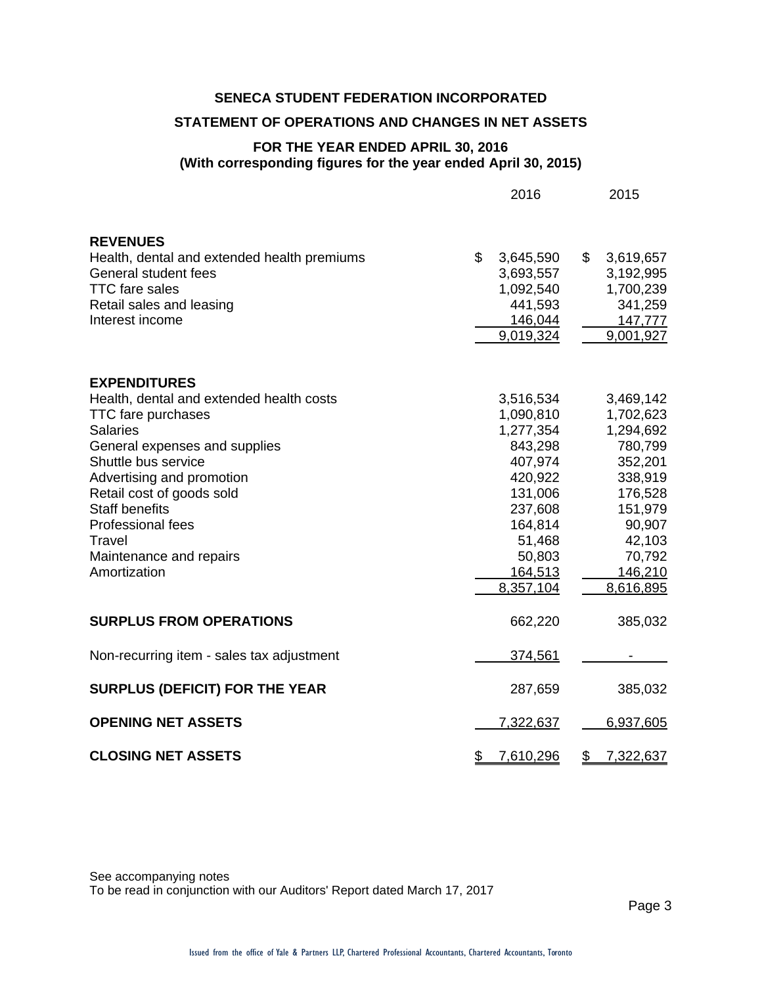#### **STATEMENT OF OPERATIONS AND CHANGES IN NET ASSETS**

## **FOR THE YEAR ENDED APRIL 30, 2016 (With corresponding figures for the year ended April 30, 2015)**

2016 2015

| <b>REVENUES</b>                             |                            |                            |
|---------------------------------------------|----------------------------|----------------------------|
| Health, dental and extended health premiums | \$<br>3,645,590            | $\mathbb{S}$<br>3,619,657  |
| General student fees                        | 3,693,557                  | 3,192,995                  |
| <b>TTC</b> fare sales                       | 1,092,540                  | 1,700,239                  |
| Retail sales and leasing                    | 441,593                    | 341,259                    |
| Interest income                             | 146,044                    | 147,777                    |
|                                             | 9,019,324                  | 9,001,927                  |
| <b>EXPENDITURES</b>                         |                            |                            |
| Health, dental and extended health costs    | 3,516,534                  | 3,469,142                  |
| <b>TTC</b> fare purchases                   | 1,090,810                  | 1,702,623                  |
| <b>Salaries</b>                             | 1,277,354                  | 1,294,692                  |
| General expenses and supplies               | 843,298                    | 780,799                    |
| Shuttle bus service                         | 407,974                    | 352,201                    |
| Advertising and promotion                   | 420,922                    | 338,919                    |
| Retail cost of goods sold                   | 131,006                    | 176,528                    |
| <b>Staff benefits</b>                       | 237,608                    | 151,979                    |
| Professional fees                           | 164,814                    | 90,907                     |
| Travel                                      | 51,468                     | 42,103                     |
| Maintenance and repairs                     | 50,803                     | 70,792                     |
| Amortization                                | 164,513                    | 146,210                    |
|                                             | 8,357,104                  | 8,616,895                  |
| <b>SURPLUS FROM OPERATIONS</b>              | 662,220                    | 385,032                    |
| Non-recurring item - sales tax adjustment   | 374,561                    |                            |
| <b>SURPLUS (DEFICIT) FOR THE YEAR</b>       | 287,659                    | 385,032                    |
| <b>OPENING NET ASSETS</b>                   | 7,322,637                  | 6,937,605                  |
| <b>CLOSING NET ASSETS</b>                   | $\frac{1}{2}$<br>7,610,296 | $\frac{1}{2}$<br>7,322,637 |

See accompanying notes To be read in conjunction with our Auditors' Report dated March 17, 2017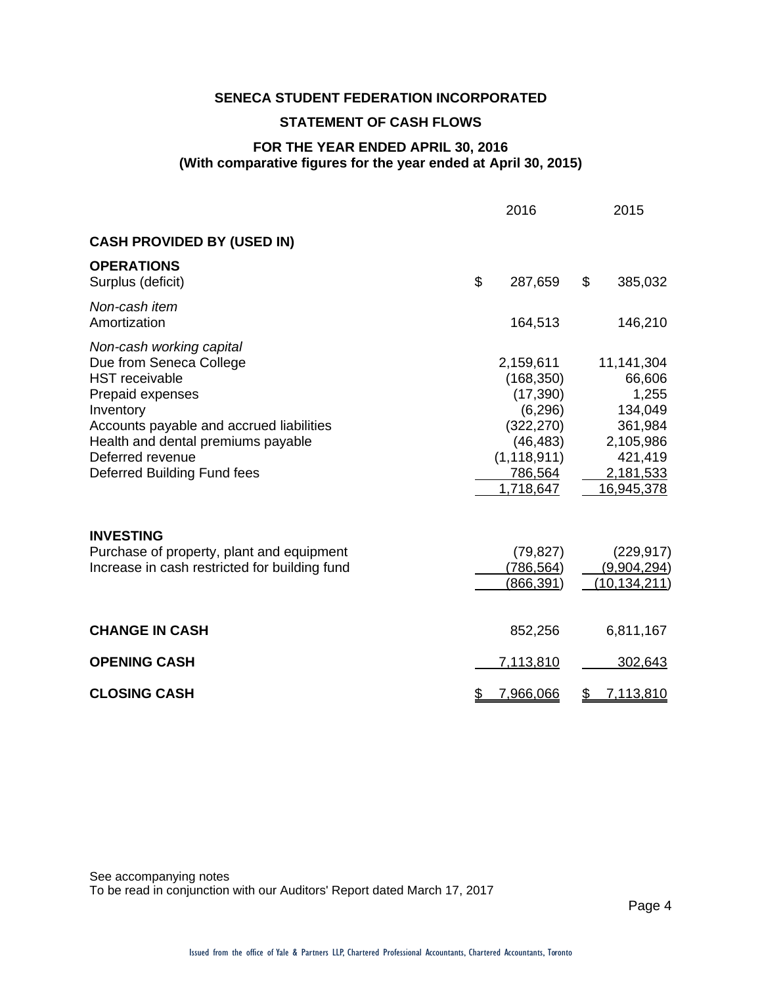## **STATEMENT OF CASH FLOWS**

## **FOR THE YEAR ENDED APRIL 30, 2016 (With comparative figures for the year ended at April 30, 2015)**

|                                                                                                                                                                                                                                                           | 2016                                                                                                                 | 2015                                                                                                   |
|-----------------------------------------------------------------------------------------------------------------------------------------------------------------------------------------------------------------------------------------------------------|----------------------------------------------------------------------------------------------------------------------|--------------------------------------------------------------------------------------------------------|
| <b>CASH PROVIDED BY (USED IN)</b>                                                                                                                                                                                                                         |                                                                                                                      |                                                                                                        |
| <b>OPERATIONS</b><br>Surplus (deficit)                                                                                                                                                                                                                    | \$<br>287,659                                                                                                        | \$<br>385,032                                                                                          |
| Non-cash item<br>Amortization                                                                                                                                                                                                                             | 164,513                                                                                                              | 146,210                                                                                                |
| Non-cash working capital<br>Due from Seneca College<br><b>HST</b> receivable<br>Prepaid expenses<br>Inventory<br>Accounts payable and accrued liabilities<br>Health and dental premiums payable<br>Deferred revenue<br><b>Deferred Building Fund fees</b> | 2,159,611<br>(168, 350)<br>(17, 390)<br>(6, 296)<br>(322, 270)<br>(46, 483)<br>(1, 118, 911)<br>786,564<br>1,718,647 | 11,141,304<br>66,606<br>1,255<br>134,049<br>361,984<br>2,105,986<br>421,419<br>2,181,533<br>16,945,378 |
| <b>INVESTING</b><br>Purchase of property, plant and equipment<br>Increase in cash restricted for building fund                                                                                                                                            | (79, 827)<br>(786,564)<br>(866, 391)                                                                                 | (229, 917)<br>(9,904,294)<br><u>(10,134,211)</u>                                                       |
| <b>CHANGE IN CASH</b>                                                                                                                                                                                                                                     | 852,256                                                                                                              | 6,811,167                                                                                              |
| <b>OPENING CASH</b>                                                                                                                                                                                                                                       | 7,113,810                                                                                                            | 302,643                                                                                                |
| <b>CLOSING CASH</b>                                                                                                                                                                                                                                       | \$<br>7,966,066                                                                                                      | \$<br><u>7,113,810</u>                                                                                 |

See accompanying notes To be read in conjunction with our Auditors' Report dated March 17, 2017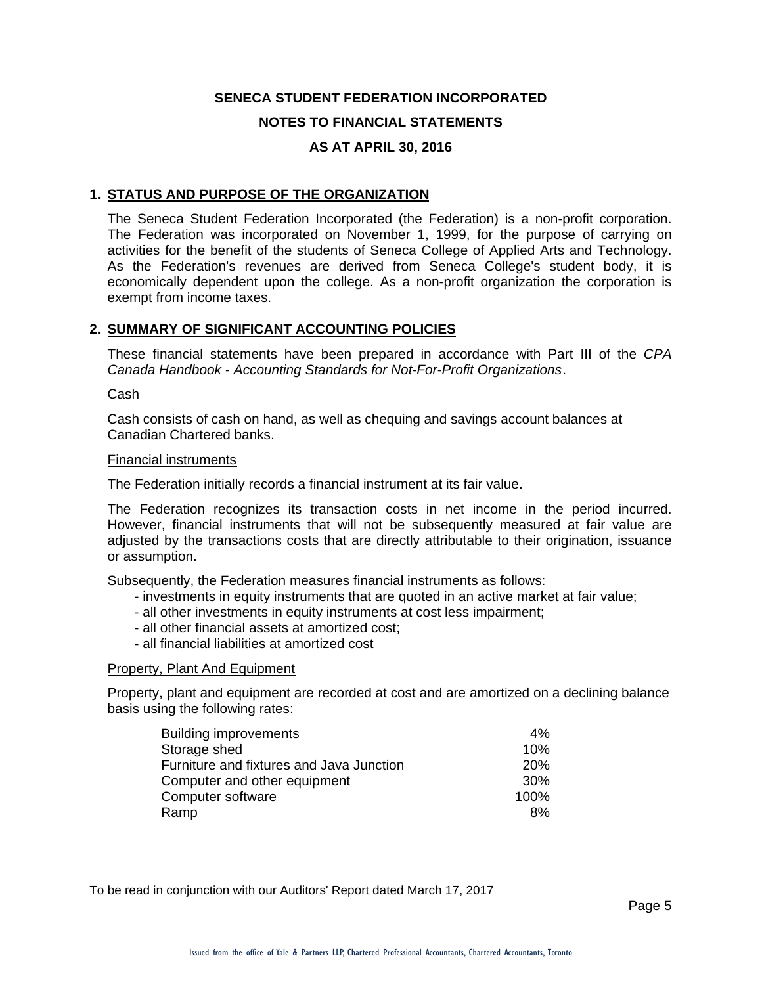### **1. STATUS AND PURPOSE OF THE ORGANIZATION**

The Seneca Student Federation Incorporated (the Federation) is a non-profit corporation. The Federation was incorporated on November 1, 1999, for the purpose of carrying on activities for the benefit of the students of Seneca College of Applied Arts and Technology. As the Federation's revenues are derived from Seneca College's student body, it is economically dependent upon the college. As a non-profit organization the corporation is exempt from income taxes.

#### **2. SUMMARY OF SIGNIFICANT ACCOUNTING POLICIES**

These financial statements have been prepared in accordance with Part III of the *CPA Canada Handbook* - *Accounting Standards for Not-For-Profit Organizations*.

#### Cash

Cash consists of cash on hand, as well as chequing and savings account balances at Canadian Chartered banks.

#### Financial instruments

The Federation initially records a financial instrument at its fair value.

The Federation recognizes its transaction costs in net income in the period incurred. However, financial instruments that will not be subsequently measured at fair value are adjusted by the transactions costs that are directly attributable to their origination, issuance or assumption.

Subsequently, the Federation measures financial instruments as follows:

- investments in equity instruments that are quoted in an active market at fair value;
- all other investments in equity instruments at cost less impairment;
- all other financial assets at amortized cost;
- all financial liabilities at amortized cost

#### Property, Plant And Equipment

Property, plant and equipment are recorded at cost and are amortized on a declining balance basis using the following rates:

| <b>Building improvements</b>             | 4%              |
|------------------------------------------|-----------------|
| Storage shed                             | 10%             |
| Furniture and fixtures and Java Junction | <b>20%</b>      |
| Computer and other equipment             | 30 <sup>%</sup> |
| Computer software                        | 100%            |
| Ramp                                     | 8%              |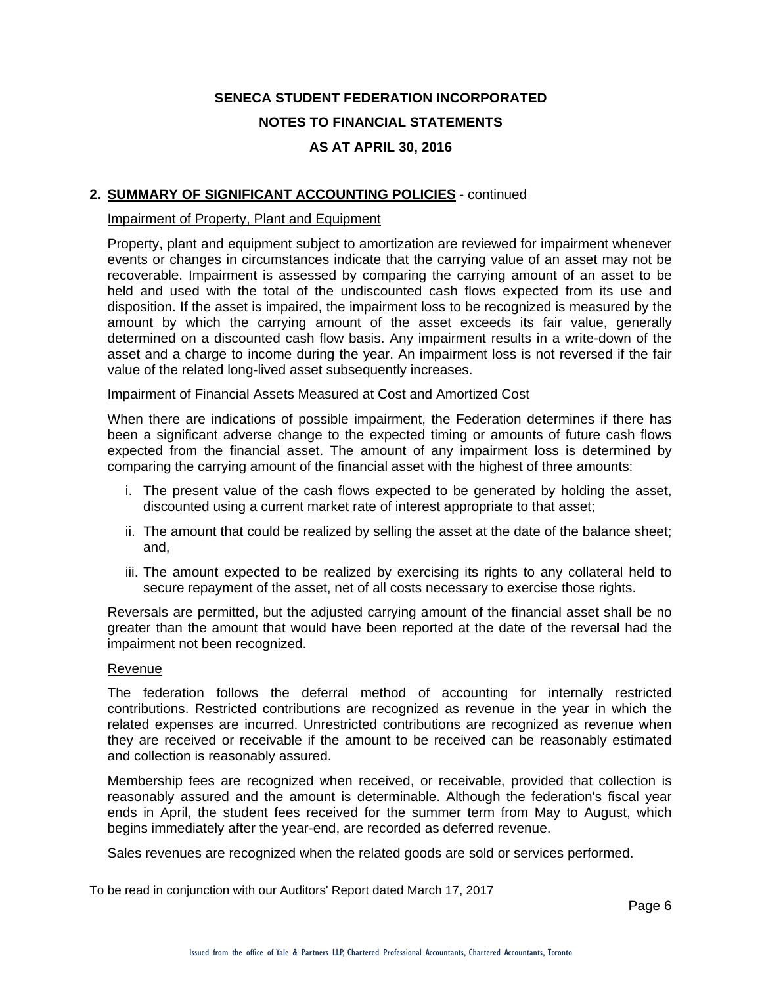## **2. SUMMARY OF SIGNIFICANT ACCOUNTING POLICIES** - continued

#### Impairment of Property, Plant and Equipment

Property, plant and equipment subject to amortization are reviewed for impairment whenever events or changes in circumstances indicate that the carrying value of an asset may not be recoverable. Impairment is assessed by comparing the carrying amount of an asset to be held and used with the total of the undiscounted cash flows expected from its use and disposition. If the asset is impaired, the impairment loss to be recognized is measured by the amount by which the carrying amount of the asset exceeds its fair value, generally determined on a discounted cash flow basis. Any impairment results in a write-down of the asset and a charge to income during the year. An impairment loss is not reversed if the fair value of the related long-lived asset subsequently increases.

#### Impairment of Financial Assets Measured at Cost and Amortized Cost

When there are indications of possible impairment, the Federation determines if there has been a significant adverse change to the expected timing or amounts of future cash flows expected from the financial asset. The amount of any impairment loss is determined by comparing the carrying amount of the financial asset with the highest of three amounts:

- i. The present value of the cash flows expected to be generated by holding the asset, discounted using a current market rate of interest appropriate to that asset;
- ii. The amount that could be realized by selling the asset at the date of the balance sheet; and,
- iii. The amount expected to be realized by exercising its rights to any collateral held to secure repayment of the asset, net of all costs necessary to exercise those rights.

Reversals are permitted, but the adjusted carrying amount of the financial asset shall be no greater than the amount that would have been reported at the date of the reversal had the impairment not been recognized.

#### Revenue

The federation follows the deferral method of accounting for internally restricted contributions. Restricted contributions are recognized as revenue in the year in which the related expenses are incurred. Unrestricted contributions are recognized as revenue when they are received or receivable if the amount to be received can be reasonably estimated and collection is reasonably assured.

Membership fees are recognized when received, or receivable, provided that collection is reasonably assured and the amount is determinable. Although the federation's fiscal year ends in April, the student fees received for the summer term from May to August, which begins immediately after the year-end, are recorded as deferred revenue.

Sales revenues are recognized when the related goods are sold or services performed.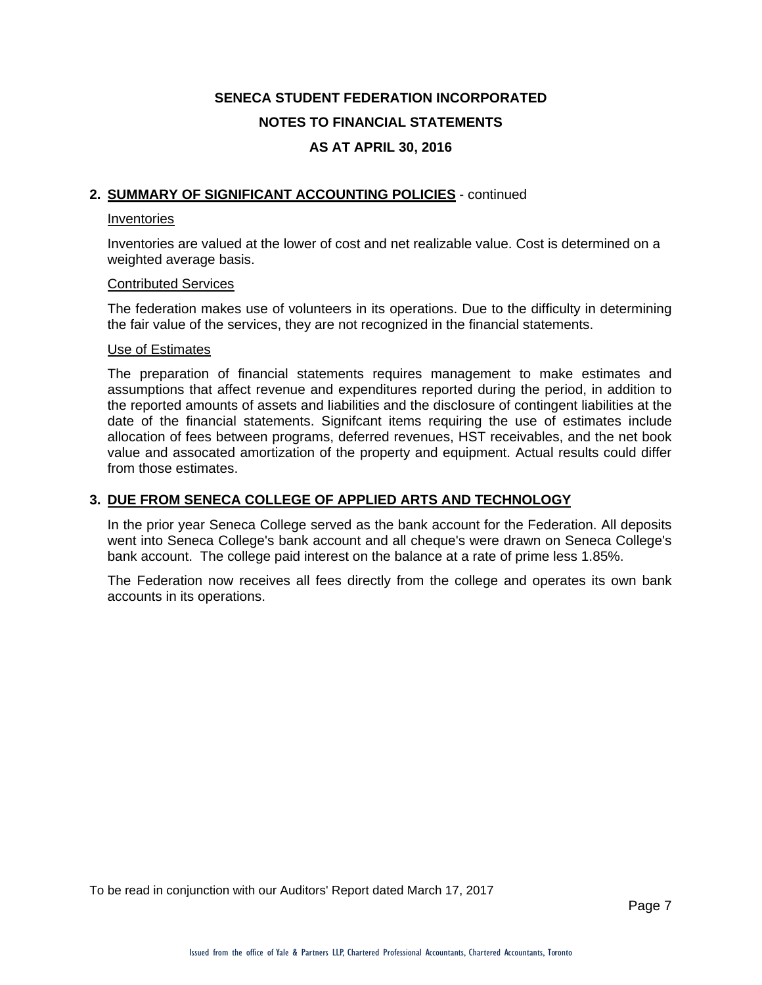### **2. SUMMARY OF SIGNIFICANT ACCOUNTING POLICIES** - continued

#### Inventories

Inventories are valued at the lower of cost and net realizable value. Cost is determined on a weighted average basis.

#### Contributed Services

The federation makes use of volunteers in its operations. Due to the difficulty in determining the fair value of the services, they are not recognized in the financial statements.

#### Use of Estimates

The preparation of financial statements requires management to make estimates and assumptions that affect revenue and expenditures reported during the period, in addition to the reported amounts of assets and liabilities and the disclosure of contingent liabilities at the date of the financial statements. Signifcant items requiring the use of estimates include allocation of fees between programs, deferred revenues, HST receivables, and the net book value and assocated amortization of the property and equipment. Actual results could differ from those estimates.

### **3. DUE FROM SENECA COLLEGE OF APPLIED ARTS AND TECHNOLOGY**

In the prior year Seneca College served as the bank account for the Federation. All deposits went into Seneca College's bank account and all cheque's were drawn on Seneca College's bank account. The college paid interest on the balance at a rate of prime less 1.85%.

The Federation now receives all fees directly from the college and operates its own bank accounts in its operations.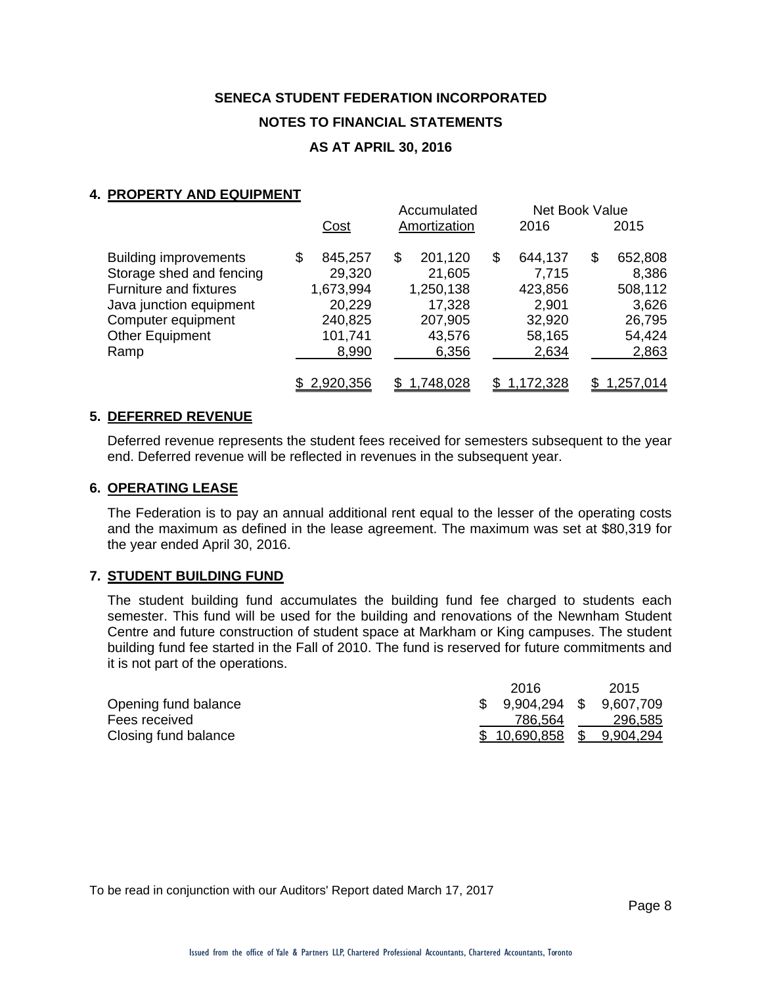## **4. PROPERTY AND EQUIPMENT**

| $1191$ cities and cwon ment   |               | Accumulated   |     | Net Book Value |               |
|-------------------------------|---------------|---------------|-----|----------------|---------------|
|                               | Cost          | Amortization  |     | 2016           | 2015          |
| <b>Building improvements</b>  | \$<br>845,257 | \$<br>201,120 | \$  | 644,137        | \$<br>652,808 |
| Storage shed and fencing      | 29,320        | 21,605        |     | 7,715          | 8,386         |
| <b>Furniture and fixtures</b> | 1,673,994     | 1,250,138     |     | 423,856        | 508,112       |
| Java junction equipment       | 20,229        | 17,328        |     | 2,901          | 3,626         |
| Computer equipment            | 240,825       | 207,905       |     | 32,920         | 26,795        |
| Other Equipment               | 101,741       | 43,576        |     | 58,165         | 54,424        |
| Ramp                          | 8,990         | 6,356         |     | 2,634          | 2,863         |
|                               | \$2,920,356   | 1,748,028     | SS. | 1,172,328      | 1,257,014     |

#### **5. DEFERRED REVENUE**

Deferred revenue represents the student fees received for semesters subsequent to the year end. Deferred revenue will be reflected in revenues in the subsequent year.

#### **6. OPERATING LEASE**

The Federation is to pay an annual additional rent equal to the lesser of the operating costs and the maximum as defined in the lease agreement. The maximum was set at \$80,319 for the year ended April 30, 2016.

#### **7. STUDENT BUILDING FUND**

The student building fund accumulates the building fund fee charged to students each semester. This fund will be used for the building and renovations of the Newnham Student Centre and future construction of student space at Markham or King campuses. The student building fund fee started in the Fall of 2010. The fund is reserved for future commitments and it is not part of the operations.

|                      | 2016                       | 2015    |
|----------------------|----------------------------|---------|
| Opening fund balance | $$9,904,294$ $$9,607,709$  |         |
| Fees received        | 786.564                    | 296,585 |
| Closing fund balance | $$10,690,858$ $$9,904,294$ |         |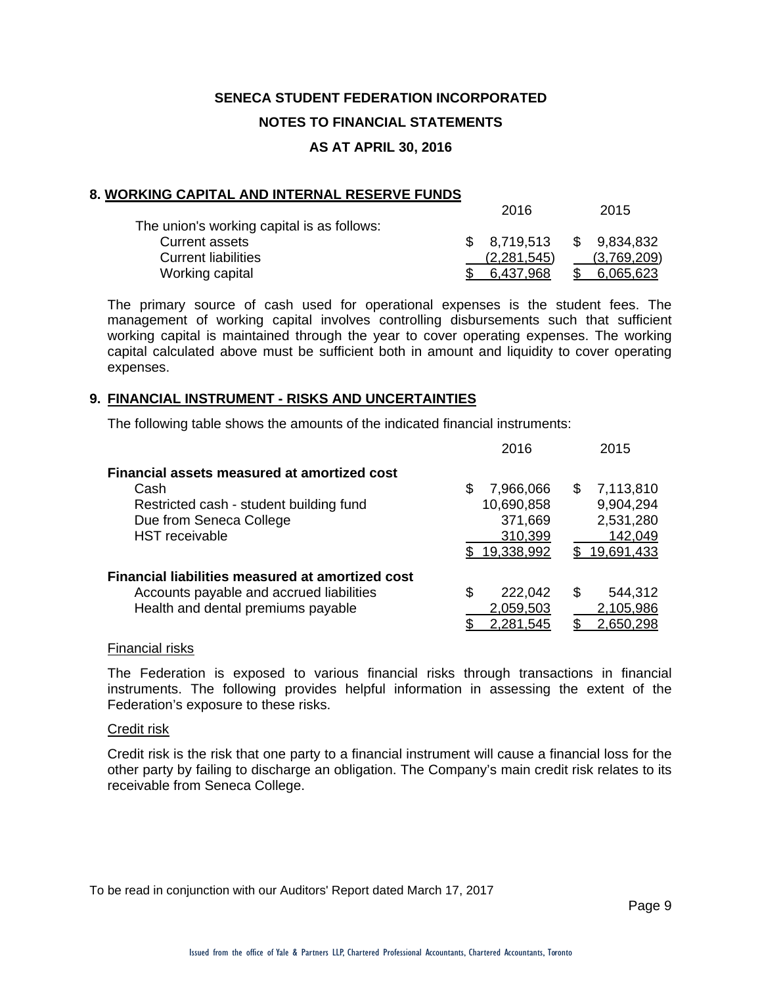#### **8. WORKING CAPITAL AND INTERNAL RESERVE FUNDS**

|                                            | 2016        | 2015         |
|--------------------------------------------|-------------|--------------|
| The union's working capital is as follows: |             |              |
| Current assets                             | \$8.719.513 | \$ 9,834,832 |
| <b>Current liabilities</b>                 | (2,281,545) | (3,769,209)  |
| Working capital                            | 6.437.968   | 6.065.623    |

2016 2015

The primary source of cash used for operational expenses is the student fees. The management of working capital involves controlling disbursements such that sufficient working capital is maintained through the year to cover operating expenses. The working capital calculated above must be sufficient both in amount and liquidity to cover operating expenses.

#### **9. FINANCIAL INSTRUMENT - RISKS AND UNCERTAINTIES**

The following table shows the amounts of the indicated financial instruments:

|                                                                                                                                                    | 2016                                                               | 2015                                                                |
|----------------------------------------------------------------------------------------------------------------------------------------------------|--------------------------------------------------------------------|---------------------------------------------------------------------|
| Financial assets measured at amortized cost<br>Cash<br>Restricted cash - student building fund<br>Due from Seneca College<br><b>HST</b> receivable | 7,966,066<br>S<br>10,690,858<br>371,669<br>310,399<br>\$19,338,992 | 7,113,810<br>S<br>9,904,294<br>2,531,280<br>142,049<br>\$19,691,433 |
| Financial liabilities measured at amortized cost<br>Accounts payable and accrued liabilities<br>Health and dental premiums payable                 | 222,042<br>\$<br>2,059,503<br>2,281,545                            | 544,312<br>\$.<br>2,105,986<br>2,650,298                            |

#### Financial risks

The Federation is exposed to various financial risks through transactions in financial instruments. The following provides helpful information in assessing the extent of the Federation's exposure to these risks.

#### Credit risk

Credit risk is the risk that one party to a financial instrument will cause a financial loss for the other party by failing to discharge an obligation. The Company's main credit risk relates to its receivable from Seneca College.